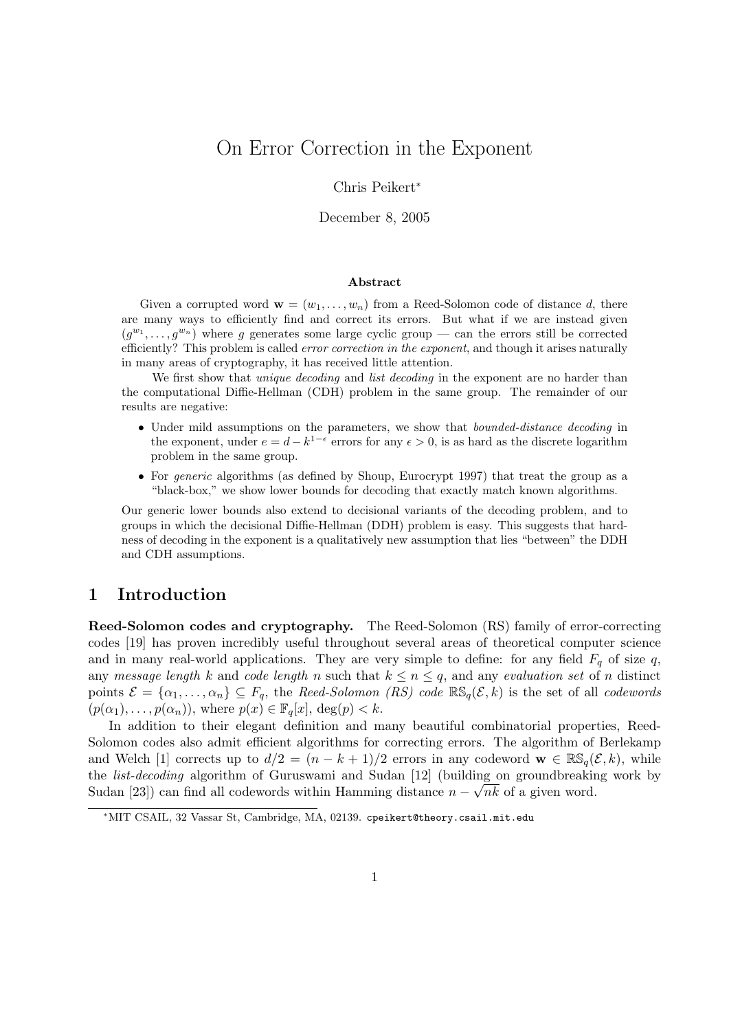# On Error Correction in the Exponent

#### Chris Peikert<sup>∗</sup>

December 8, 2005

#### Abstract

Given a corrupted word  $\mathbf{w} = (w_1, \ldots, w_n)$  from a Reed-Solomon code of distance d, there are many ways to efficiently find and correct its errors. But what if we are instead given  $(g^{w_1}, \ldots, g^{w_n})$  where g generates some large cyclic group — can the errors still be corrected efficiently? This problem is called *error correction in the exponent*, and though it arises naturally in many areas of cryptography, it has received little attention.

We first show that *unique decoding* and *list decoding* in the exponent are no harder than the computational Diffie-Hellman (CDH) problem in the same group. The remainder of our results are negative:

- Under mild assumptions on the parameters, we show that *bounded-distance decoding* in the exponent, under  $e = d - k^{1-\epsilon}$  errors for any  $\epsilon > 0$ , is as hard as the discrete logarithm problem in the same group.
- For *generic* algorithms (as defined by Shoup, Eurocrypt 1997) that treat the group as a "black-box," we show lower bounds for decoding that exactly match known algorithms.

Our generic lower bounds also extend to decisional variants of the decoding problem, and to groups in which the decisional Diffie-Hellman (DDH) problem is easy. This suggests that hardness of decoding in the exponent is a qualitatively new assumption that lies "between" the DDH and CDH assumptions.

### 1 Introduction

Reed-Solomon codes and cryptography. The Reed-Solomon (RS) family of error-correcting codes [19] has proven incredibly useful throughout several areas of theoretical computer science and in many real-world applications. They are very simple to define: for any field  $F_q$  of size q, any message length k and code length n such that  $k \le n \le q$ , and any evaluation set of n distinct points  $\mathcal{E} = {\alpha_1, ..., \alpha_n} \subseteq F_q$ , the Reed-Solomon (RS) code  $\mathbb{RS}_q(\mathcal{E}, k)$  is the set of all codewords  $(p(\alpha_1), \ldots, p(\alpha_n)),$  where  $p(x) \in \mathbb{F}_q[x], \deg(p) < k$ .

In addition to their elegant definition and many beautiful combinatorial properties, Reed-Solomon codes also admit efficient algorithms for correcting errors. The algorithm of Berlekamp and Welch [1] corrects up to  $d/2 = (n - k + 1)/2$  errors in any codeword  $\mathbf{w} \in \mathbb{RS}_q(\mathcal{E}, k)$ , while the *list-decoding* algorithm of Guruswami and Sudan [12] (building on groundbreaking work by Sudan [23]) can find all codewords within Hamming distance  $n - \sqrt{n}k$  of a given word.

<sup>∗</sup>MIT CSAIL, 32 Vassar St, Cambridge, MA, 02139. cpeikert@theory.csail.mit.edu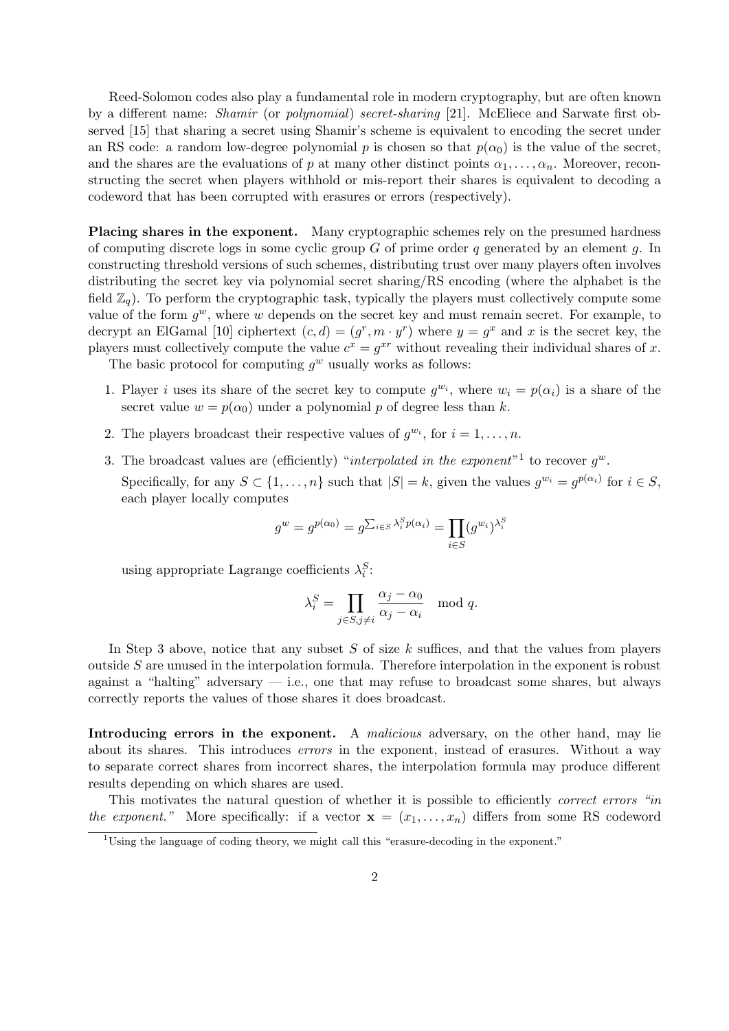Reed-Solomon codes also play a fundamental role in modern cryptography, but are often known by a different name: Shamir (or polynomial) secret-sharing [21]. McEliece and Sarwate first observed [15] that sharing a secret using Shamir's scheme is equivalent to encoding the secret under an RS code: a random low-degree polynomial p is chosen so that  $p(\alpha_0)$  is the value of the secret, and the shares are the evaluations of p at many other distinct points  $\alpha_1, \ldots, \alpha_n$ . Moreover, reconstructing the secret when players withhold or mis-report their shares is equivalent to decoding a codeword that has been corrupted with erasures or errors (respectively).

Placing shares in the exponent. Many cryptographic schemes rely on the presumed hardness of computing discrete logs in some cyclic group  $G$  of prime order q generated by an element  $q$ . In constructing threshold versions of such schemes, distributing trust over many players often involves distributing the secret key via polynomial secret sharing/RS encoding (where the alphabet is the field  $\mathbb{Z}_q$ ). To perform the cryptographic task, typically the players must collectively compute some value of the form  $g^w$ , where w depends on the secret key and must remain secret. For example, to decrypt an ElGamal [10] ciphertext  $(c, d) = (g^r, m \cdot y^r)$  where  $y = g^x$  and x is the secret key, the players must collectively compute the value  $c^x = g^{xr}$  without revealing their individual shares of x.

The basic protocol for computing  $g^w$  usually works as follows:

- 1. Player i uses its share of the secret key to compute  $g^{w_i}$ , where  $w_i = p(\alpha_i)$  is a share of the secret value  $w = p(\alpha_0)$  under a polynomial p of degree less than k.
- 2. The players broadcast their respective values of  $g^{w_i}$ , for  $i = 1, \ldots, n$ .
- 3. The broadcast values are (efficiently) "interpolated in the exponent"<sup>1</sup> to recover  $g^w$ . Specifically, for any  $S \subset \{1, \ldots, n\}$  such that  $|S| = k$ , given the values  $g^{w_i} = g^{p(\alpha_i)}$  for  $i \in S$ ,

$$
g^w = g^{p(\alpha_0)} = g^{\sum_{i \in S} \lambda_i^S p(\alpha_i)} = \prod_{i \in S} (g^{w_i})^{\lambda_i^S}
$$

using appropriate Lagrange coefficients  $\lambda_i^S$ :

each player locally computes

$$
\lambda_i^S = \prod_{j \in S, j \neq i} \frac{\alpha_j - \alpha_0}{\alpha_j - \alpha_i} \mod q.
$$

In Step 3 above, notice that any subset  $S$  of size  $k$  suffices, and that the values from players outside S are unused in the interpolation formula. Therefore interpolation in the exponent is robust against a "halting" adversary  $-$  i.e., one that may refuse to broadcast some shares, but always correctly reports the values of those shares it does broadcast.

Introducing errors in the exponent. A malicious adversary, on the other hand, may lie about its shares. This introduces errors in the exponent, instead of erasures. Without a way to separate correct shares from incorrect shares, the interpolation formula may produce different results depending on which shares are used.

This motivates the natural question of whether it is possible to efficiently *correct errors* "in the exponent." More specifically: if a vector  $\mathbf{x} = (x_1, \ldots, x_n)$  differs from some RS codeword

<sup>&</sup>lt;sup>1</sup>Using the language of coding theory, we might call this "erasure-decoding in the exponent."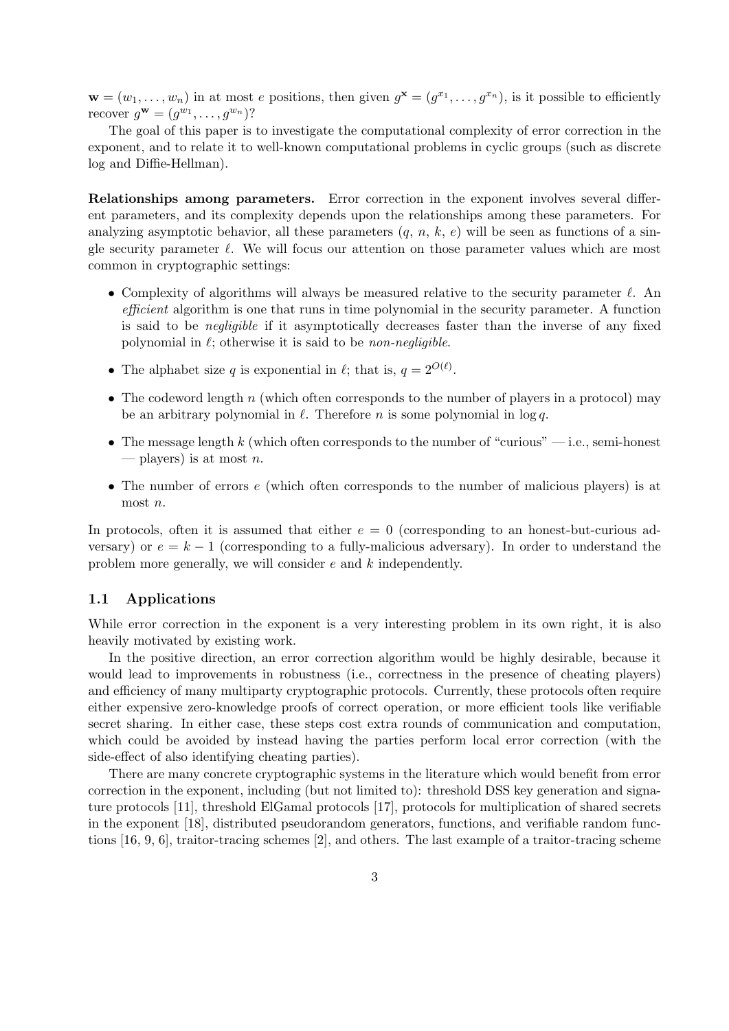$\mathbf{w} = (w_1, \dots, w_n)$  in at most e positions, then given  $g^{\mathbf{x}} = (g^{x_1}, \dots, g^{x_n})$ , is it possible to efficiently recover  $g^{\mathbf{w}} = (g^{w_1}, \dots, g^{w_n})$ ?

The goal of this paper is to investigate the computational complexity of error correction in the exponent, and to relate it to well-known computational problems in cyclic groups (such as discrete log and Diffie-Hellman).

Relationships among parameters. Error correction in the exponent involves several different parameters, and its complexity depends upon the relationships among these parameters. For analyzing asymptotic behavior, all these parameters  $(q, n, k, e)$  will be seen as functions of a single security parameter  $\ell$ . We will focus our attention on those parameter values which are most common in cryptographic settings:

- Complexity of algorithms will always be measured relative to the security parameter  $\ell$ . An efficient algorithm is one that runs in time polynomial in the security parameter. A function is said to be negligible if it asymptotically decreases faster than the inverse of any fixed polynomial in  $\ell$ ; otherwise it is said to be *non-negligible*.
- The alphabet size q is exponential in  $\ell$ ; that is,  $q = 2^{O(\ell)}$ .
- The codeword length n (which often corresponds to the number of players in a protocol) may be an arbitrary polynomial in  $\ell$ . Therefore n is some polynomial in log q.
- The message length k (which often corresponds to the number of "curious"  $-$  i.e., semi-honest — players) is at most  $n$ .
- The number of errors e (which often corresponds to the number of malicious players) is at most n.

In protocols, often it is assumed that either  $e = 0$  (corresponding to an honest-but-curious adversary) or  $e = k - 1$  (corresponding to a fully-malicious adversary). In order to understand the problem more generally, we will consider e and k independently.

#### 1.1 Applications

While error correction in the exponent is a very interesting problem in its own right, it is also heavily motivated by existing work.

In the positive direction, an error correction algorithm would be highly desirable, because it would lead to improvements in robustness (i.e., correctness in the presence of cheating players) and efficiency of many multiparty cryptographic protocols. Currently, these protocols often require either expensive zero-knowledge proofs of correct operation, or more efficient tools like verifiable secret sharing. In either case, these steps cost extra rounds of communication and computation, which could be avoided by instead having the parties perform local error correction (with the side-effect of also identifying cheating parties).

There are many concrete cryptographic systems in the literature which would benefit from error correction in the exponent, including (but not limited to): threshold DSS key generation and signature protocols [11], threshold ElGamal protocols [17], protocols for multiplication of shared secrets in the exponent [18], distributed pseudorandom generators, functions, and verifiable random functions [16, 9, 6], traitor-tracing schemes [2], and others. The last example of a traitor-tracing scheme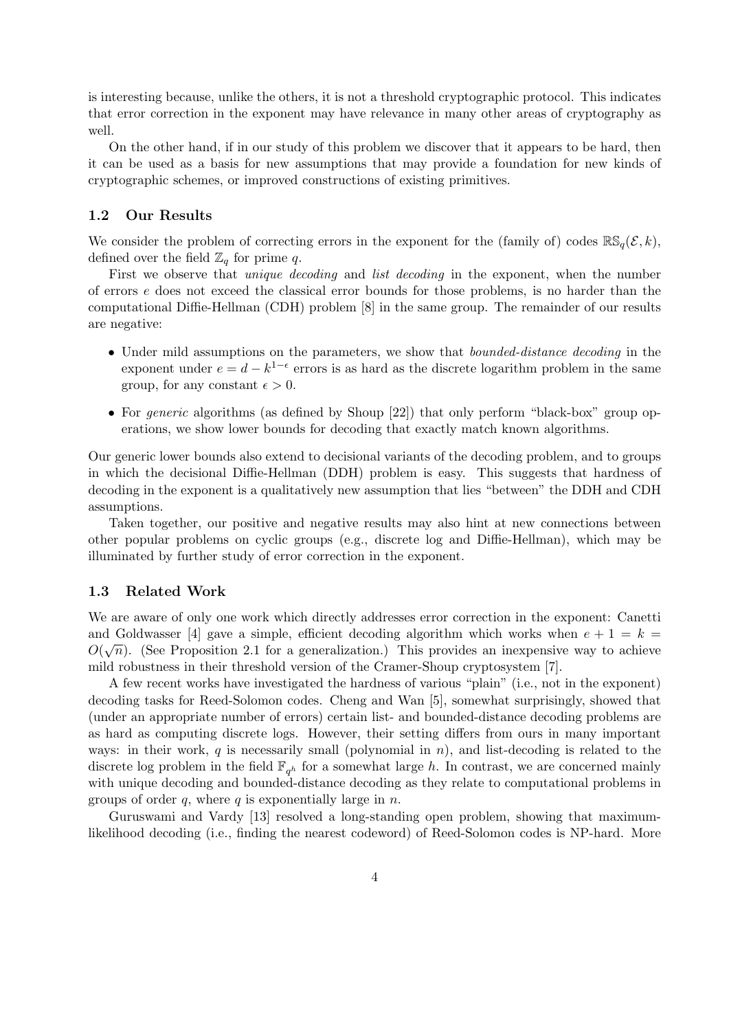is interesting because, unlike the others, it is not a threshold cryptographic protocol. This indicates that error correction in the exponent may have relevance in many other areas of cryptography as well.

On the other hand, if in our study of this problem we discover that it appears to be hard, then it can be used as a basis for new assumptions that may provide a foundation for new kinds of cryptographic schemes, or improved constructions of existing primitives.

### 1.2 Our Results

We consider the problem of correcting errors in the exponent for the (family of) codes  $\mathbb{RS}_{q}(\mathcal{E}, k)$ , defined over the field  $\mathbb{Z}_q$  for prime q.

First we observe that *unique decoding* and *list decoding* in the exponent, when the number of errors e does not exceed the classical error bounds for those problems, is no harder than the computational Diffie-Hellman (CDH) problem [8] in the same group. The remainder of our results are negative:

- Under mild assumptions on the parameters, we show that *bounded-distance decoding* in the exponent under  $e = d - k^{1-\epsilon}$  errors is as hard as the discrete logarithm problem in the same group, for any constant  $\epsilon > 0$ .
- For *generic* algorithms (as defined by Shoup [22]) that only perform "black-box" group operations, we show lower bounds for decoding that exactly match known algorithms.

Our generic lower bounds also extend to decisional variants of the decoding problem, and to groups in which the decisional Diffie-Hellman (DDH) problem is easy. This suggests that hardness of decoding in the exponent is a qualitatively new assumption that lies "between" the DDH and CDH assumptions.

Taken together, our positive and negative results may also hint at new connections between other popular problems on cyclic groups (e.g., discrete log and Diffie-Hellman), which may be illuminated by further study of error correction in the exponent.

### 1.3 Related Work

We are aware of only one work which directly addresses error correction in the exponent: Canetti and Goldwasser [4] gave a simple, efficient decoding algorithm which works when  $e + 1 = k = 0$  $O(\sqrt{n})$ . (See Proposition 2.1 for a generalization.) This provides an inexpensive way to achieve mild robustness in their threshold version of the Cramer-Shoup cryptosystem [7].

A few recent works have investigated the hardness of various "plain" (i.e., not in the exponent) decoding tasks for Reed-Solomon codes. Cheng and Wan [5], somewhat surprisingly, showed that (under an appropriate number of errors) certain list- and bounded-distance decoding problems are as hard as computing discrete logs. However, their setting differs from ours in many important ways: in their work, q is necessarily small (polynomial in  $n$ ), and list-decoding is related to the discrete log problem in the field  $\mathbb{F}_{q^h}$  for a somewhat large h. In contrast, we are concerned mainly with unique decoding and bounded-distance decoding as they relate to computational problems in groups of order q, where q is exponentially large in  $n$ .

Guruswami and Vardy [13] resolved a long-standing open problem, showing that maximumlikelihood decoding (i.e., finding the nearest codeword) of Reed-Solomon codes is NP-hard. More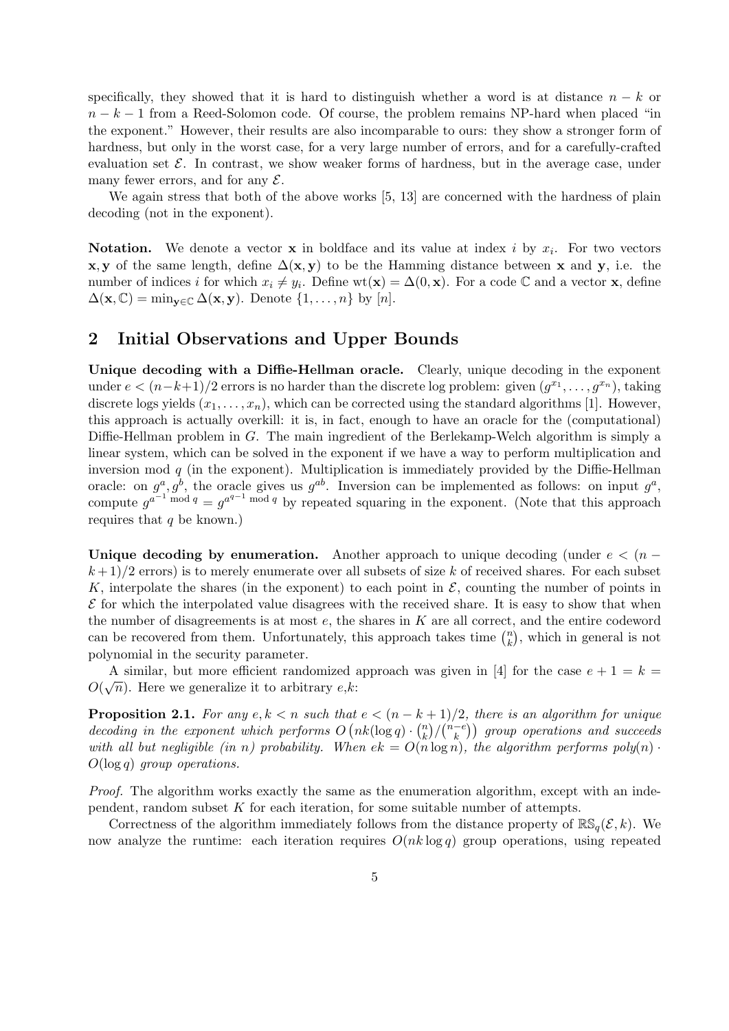specifically, they showed that it is hard to distinguish whether a word is at distance  $n - k$  or  $n - k - 1$  from a Reed-Solomon code. Of course, the problem remains NP-hard when placed "in the exponent." However, their results are also incomparable to ours: they show a stronger form of hardness, but only in the worst case, for a very large number of errors, and for a carefully-crafted evaluation set  $\mathcal{E}$ . In contrast, we show weaker forms of hardness, but in the average case, under many fewer errors, and for any  $\mathcal{E}$ .

We again stress that both of the above works  $[5, 13]$  are concerned with the hardness of plain decoding (not in the exponent).

**Notation.** We denote a vector **x** in boldface and its value at index i by  $x_i$ . For two vectors **x**, y of the same length, define  $\Delta(x, y)$  to be the Hamming distance between x and y, i.e. the number of indices i for which  $x_i \neq y_i$ . Define wt(**x**) =  $\Delta(0, \mathbf{x})$ . For a code  $\mathbb{C}$  and a vector **x**, define  $\Delta(\mathbf{x}, \mathbb{C}) = \min_{\mathbf{y} \in \mathbb{C}} \Delta(\mathbf{x}, \mathbf{y})$ . Denote  $\{1, \ldots, n\}$  by  $[n]$ .

## 2 Initial Observations and Upper Bounds

Unique decoding with a Diffie-Hellman oracle. Clearly, unique decoding in the exponent under  $e < (n-k+1)/2$  errors is no harder than the discrete log problem: given  $(g^{x_1}, \ldots, g^{x_n})$ , taking discrete logs yields  $(x_1, \ldots, x_n)$ , which can be corrected using the standard algorithms [1]. However, this approach is actually overkill: it is, in fact, enough to have an oracle for the (computational) Diffie-Hellman problem in  $G$ . The main ingredient of the Berlekamp-Welch algorithm is simply a linear system, which can be solved in the exponent if we have a way to perform multiplication and inversion mod  $q$  (in the exponent). Multiplication is immediately provided by the Diffie-Hellman oracle: on  $g^a, g^b$ , the oracle gives us  $g^{ab}$ . Inversion can be implemented as follows: on input  $g^a$ , compute  $g^{a^{-1} \bmod q} = g^{a^{q-1} \bmod q}$  by repeated squaring in the exponent. (Note that this approach requires that  $q$  be known.)

Unique decoding by enumeration. Another approach to unique decoding (under  $e < (n (k+1)/2$  errors) is to merely enumerate over all subsets of size k of received shares. For each subset K, interpolate the shares (in the exponent) to each point in  $\mathcal{E}$ , counting the number of points in  $\mathcal E$  for which the interpolated value disagrees with the received share. It is easy to show that when the number of disagreements is at most  $e$ , the shares in  $K$  are all correct, and the entire codeword can be recovered from them. Unfortunately, this approach takes time  $\binom{n}{k}$  $\binom{n}{k}$ , which in general is not polynomial in the security parameter.

A similar, but more efficient randomized approach was given in [4] for the case  $e + 1 = k =$ A similar, but more enclear randomized a<br> $O(\sqrt{n})$ . Here we generalize it to arbitrary e,k:

**Proposition 2.1.** For any  $e, k < n$  such that  $e < (n - k + 1)/2$ , there is an algorithm for unique decoding in the exponent which performs  $O(nk(\log q) \cdot {n \choose k})$  $\binom{n}{k}/\binom{n-e}{k}$  $\binom{-e}{k}$  group operations and succeeds with all but negligible (in n) probability. When  $ek = O(n \log n)$ , the algorithm performs  $poly(n)$ .  $O(\log q)$  group operations.

Proof. The algorithm works exactly the same as the enumeration algorithm, except with an independent, random subset K for each iteration, for some suitable number of attempts.

Correctness of the algorithm immediately follows from the distance property of  $\mathbb{RS}_q(\mathcal{E}, k)$ . We now analyze the runtime: each iteration requires  $O(nk \log q)$  group operations, using repeated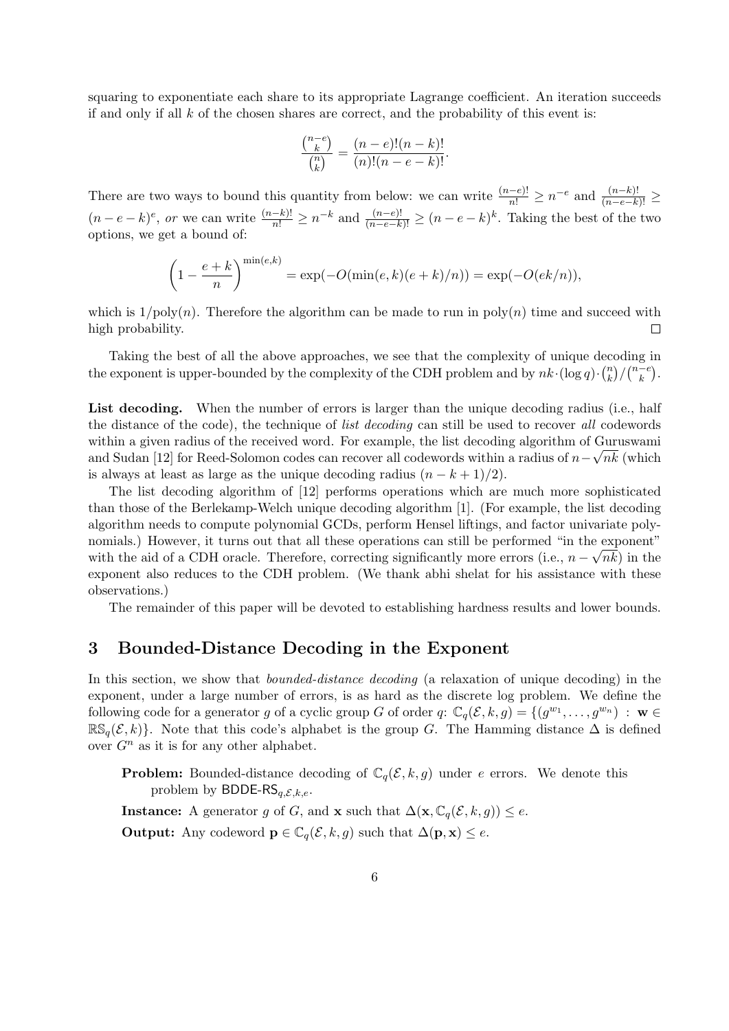squaring to exponentiate each share to its appropriate Lagrange coefficient. An iteration succeeds if and only if all  $k$  of the chosen shares are correct, and the probability of this event is:

$$
\frac{\binom{n-e}{k}}{\binom{n}{k}} = \frac{(n-e)!(n-k)!}{(n)!(n-e-k)!}.
$$

There are two ways to bound this quantity from below: we can write  $\frac{(n-e)!}{n!} \geq n^{-e}$  and  $\frac{(n-k)!}{(n-e-k)!} \geq$  $(n-e-k)^e$ , or we can write  $\frac{(n-k)!}{n!} \geq n^{-k}$  and  $\frac{(n-e)!}{(n-e-k)!} \geq (n-e-k)^k$ . Taking the best of the two options, we get a bound of:

$$
\left(1 - \frac{e+k}{n}\right)^{\min(e,k)} = \exp(-O(\min(e,k)(e+k)/n)) = \exp(-O(ek/n)),
$$

which is  $1/poly(n)$ . Therefore the algorithm can be made to run in poly $(n)$  time and succeed with high probability.  $\Box$ 

Taking the best of all the above approaches, we see that the complexity of unique decoding in the exponent is upper-bounded by the complexity of the CDH problem and by  $nk \cdot (\log q) \cdot {n \choose k}$  $\binom{n}{k}/\binom{n-e}{k}$  $\binom{-e}{k}$ .

List decoding. When the number of errors is larger than the unique decoding radius (i.e., half the distance of the code), the technique of list decoding can still be used to recover all codewords within a given radius of the received word. For example, the list decoding algorithm of Guruswami and Sudan [12] for Reed-Solomon codes can recover all codewords within a radius of  $n-\sqrt{nk}$  (which is always at least as large as the unique decoding radius  $(n - k + 1)/2$ .

The list decoding algorithm of [12] performs operations which are much more sophisticated than those of the Berlekamp-Welch unique decoding algorithm [1]. (For example, the list decoding algorithm needs to compute polynomial GCDs, perform Hensel liftings, and factor univariate polynomials.) However, it turns out that all these operations can still be performed "in the exponent" with the aid of a CDH oracle. Therefore, correcting significantly more errors (i.e.,  $n - \sqrt{n}k$ ) in the exponent also reduces to the CDH problem. (We thank abhi shelat for his assistance with these observations.)

The remainder of this paper will be devoted to establishing hardness results and lower bounds.

### 3 Bounded-Distance Decoding in the Exponent

In this section, we show that *bounded-distance decoding* (a relaxation of unique decoding) in the exponent, under a large number of errors, is as hard as the discrete log problem. We define the following code for a generator g of a cyclic group G of order  $q: \mathbb{C}_q(\mathcal{E}, k, g) = \{(g^{w_1}, \ldots, g^{w_n}) : \mathbf{w} \in$  $\mathbb{RS}_q(\mathcal{E}, k)$ . Note that this code's alphabet is the group G. The Hamming distance  $\Delta$  is defined over  $G<sup>n</sup>$  as it is for any other alphabet.

**Problem:** Bounded-distance decoding of  $\mathbb{C}_q(\mathcal{E}, k, g)$  under e errors. We denote this problem by BDDE-RS<sub>a,E,k,e</sub>.

Instance: A generator g of G, and x such that  $\Delta(\mathbf{x}, \mathbb{C}_q(\mathcal{E}, k, g)) \leq e$ .

**Output:** Any codeword  $\mathbf{p} \in \mathbb{C}_q(\mathcal{E}, k, g)$  such that  $\Delta(\mathbf{p}, \mathbf{x}) \leq e$ .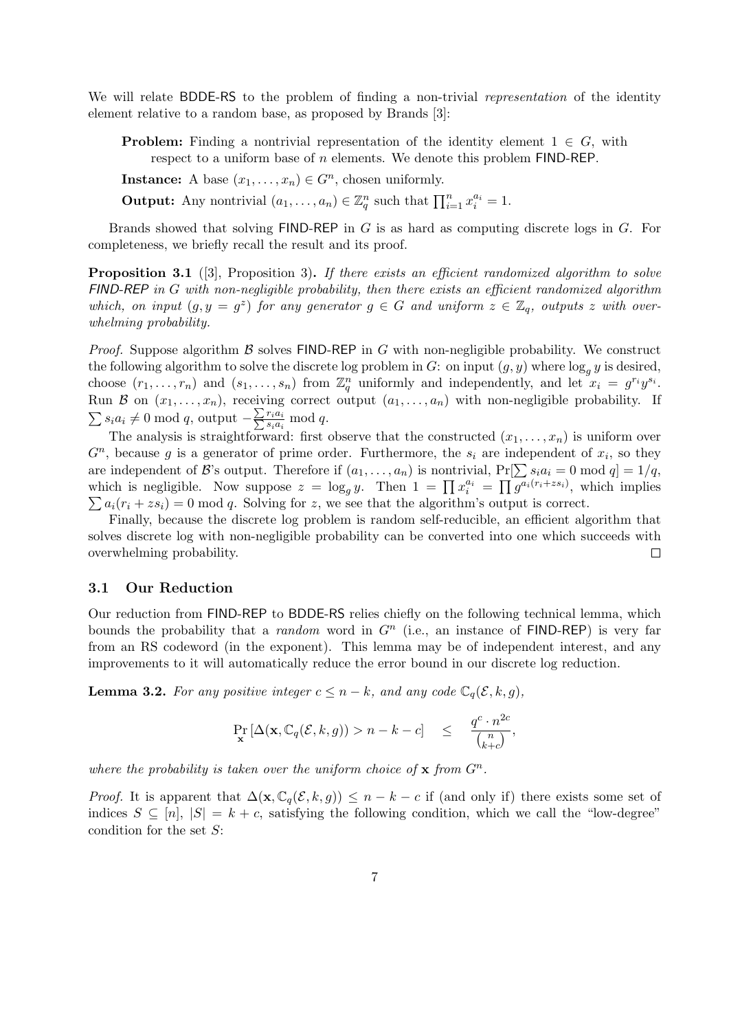We will relate BDDE-RS to the problem of finding a non-trivial *representation* of the identity element relative to a random base, as proposed by Brands [3]:

**Problem:** Finding a nontrivial representation of the identity element  $1 \in G$ , with respect to a uniform base of  $n$  elements. We denote this problem FIND-REP.

**Instance:** A base  $(x_1, \ldots, x_n) \in G^n$ , chosen uniformly.

**Output:** Any nontrivial  $(a_1, \ldots, a_n) \in \mathbb{Z}_q^n$  such that  $\prod_{i=1}^n x_i^{a_i} = 1$ .

Brands showed that solving  $FIND-REF$  in G is as hard as computing discrete logs in G. For completeness, we briefly recall the result and its proof.

**Proposition 3.1** ([3], Proposition 3). If there exists an efficient randomized algorithm to solve  $FIND-REP$  in G with non-negligible probability, then there exists an efficient randomized algorithm which, on input  $(g, y = g^z)$  for any generator  $g \in G$  and uniform  $z \in \mathbb{Z}_q$ , outputs z with overwhelming probability.

*Proof.* Suppose algorithm  $\beta$  solves FIND-REP in G with non-negligible probability. We construct the following algorithm to solve the discrete log problem in G: on input  $(g, y)$  where  $\log_q y$  is desired, choose  $(r_1, \ldots, r_n)$  and  $(s_1, \ldots, s_n)$  from  $\mathbb{Z}_q^n$  uniformly and independently, and let  $x_i = g^{r_i} y^{s_i}$ . Run B on  $(x_1, \ldots, x_n)$ , receiving correct output  $(a_1, \ldots, a_n)$  with non-negligible probability. If  $\sum s_i a_i \neq 0 \mod q$ , output  $-\frac{\sum r_i a_i}{\sum s_i a_i} \mod q$ .

The analysis is straightforward: first observe that the constructed  $(x_1, \ldots, x_n)$  is uniform over  $G<sup>n</sup>$ , because g is a generator of prime order. Furthermore, the  $s<sub>i</sub>$  are independent of  $x<sub>i</sub>$ , so they are independent of B's output. Therefore if  $(a_1, \ldots, a_n)$  is nontrivial,  $Pr[\sum s_i a_i = 0 \mod q] = 1/q$ , which is negligible. Now suppose  $z = \log_g y$ . Then  $1 = \prod x_i^{a_i} = \prod \overline{g^{a_i(r_i + zs_i)}}$ , which implies  $\sum a_i(r_i + zs_i) = 0$  mod q. Solving for z, we see that the algorithm's output is correct.

Finally, because the discrete log problem is random self-reducible, an efficient algorithm that solves discrete log with non-negligible probability can be converted into one which succeeds with overwhelming probability.  $\Box$ 

### 3.1 Our Reduction

Our reduction from FIND-REP to BDDE-RS relies chiefly on the following technical lemma, which bounds the probability that a *random* word in  $G<sup>n</sup>$  (i.e., an instance of FIND-REP) is very far from an RS codeword (in the exponent). This lemma may be of independent interest, and any improvements to it will automatically reduce the error bound in our discrete log reduction.

**Lemma 3.2.** For any positive integer  $c \leq n - k$ , and any code  $\mathbb{C}_q(\mathcal{E}, k, g)$ ,

$$
\Pr_{\mathbf{x}}\left[\Delta(\mathbf{x}, \mathbb{C}_q(\mathcal{E}, k, g)) > n - k - c\right] \leq \frac{q^c \cdot n^{2c}}{\binom{n}{k+c}},
$$

where the probability is taken over the uniform choice of  $x$  from  $G<sup>n</sup>$ .

*Proof.* It is apparent that  $\Delta(\mathbf{x}, \mathbb{C}_q(\mathcal{E}, k, g)) \leq n - k - c$  if (and only if) there exists some set of indices  $S \subseteq [n], |S| = k + c$ , satisfying the following condition, which we call the "low-degree" condition for the set  $S$ :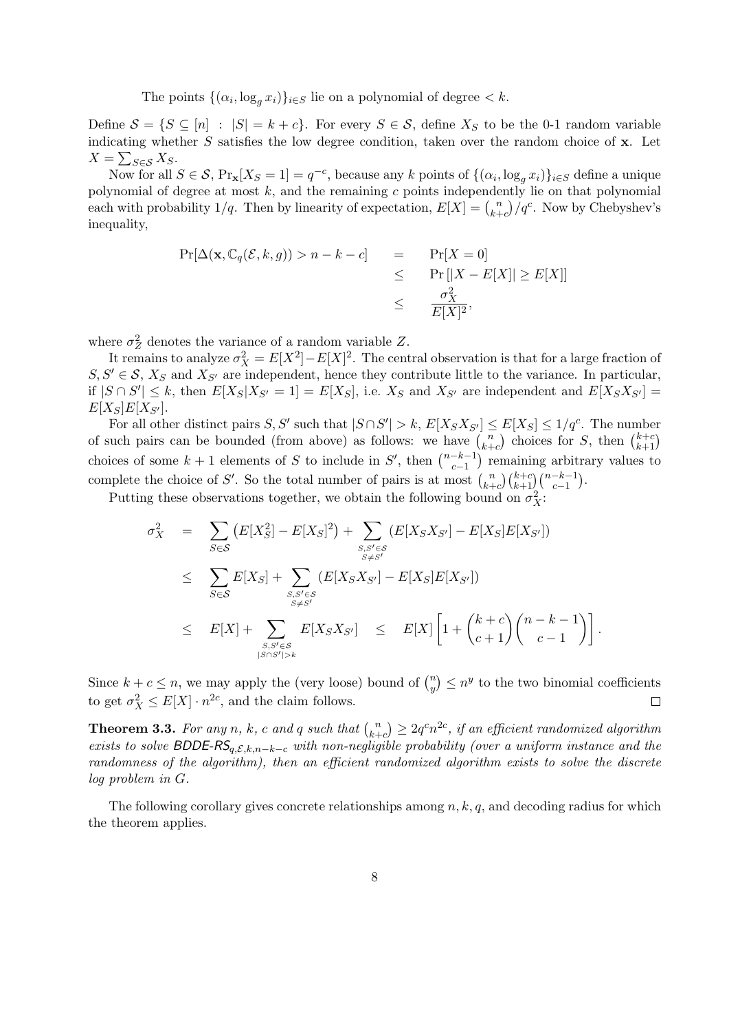The points  $\{(\alpha_i, \log_g x_i)\}_{i \in S}$  lie on a polynomial of degree  $\lt k$ .

Define  $S = \{S \subseteq [n] : |S| = k + c\}$ . For every  $S \in \mathcal{S}$ , define  $X_S$  to be the 0-1 random variable indicating whether  $S$  satisfies the low degree condition, taken over the random choice of  $x$ . Let  $X = \sum_{S \in \mathcal{S}} X_S.$ 

Now for all  $S \in \mathcal{S}$ ,  $Pr_{\mathbf{x}}[X_S = 1] = q^{-c}$ , because any k points of  $\{(\alpha_i, \log_g x_i)\}_{i \in S}$  define a unique polynomial of degree at most  $k$ , and the remaining  $c$  points independently lie on that polynomial each with probability  $1/q$ . Then by linearity of expectation,  $E[X] = {n \choose k+1}$  $\binom{n}{k+c}/q^c$ . Now by Chebyshev's inequality,

$$
\Pr[\Delta(\mathbf{x}, \mathbb{C}_q(\mathcal{E}, k, g)) > n - k - c] = \Pr[X = 0]
$$
  
\n
$$
\leq \Pr[|X - E[X]| \geq E[X]]
$$
  
\n
$$
\leq \frac{\sigma_X^2}{E[X]^2},
$$

where  $\sigma_Z^2$  denotes the variance of a random variable Z.

It remains to analyze  $\sigma_X^2 = E[X^2] - E[X]^2$ . The central observation is that for a large fraction of  $S, S' \in \mathcal{S}, X_S$  and  $X_{S'}$  are independent, hence they contribute little to the variance. In particular, if  $|S \cap S'| \leq k$ , then  $E[X_S|X_{S'} = 1] = E[X_S]$ , i.e.  $X_S$  and  $X_{S'}$  are independent and  $E[X_S X_{S'}] =$  $E[X_S]E[X_{S}].$ 

For all other distinct pairs S, S' such that  $|S \cap S'| > k$ ,  $E[X_S X_{S'}] \le E[X_S] \le 1/q^c$ . The number of such pairs can be bounded (from above) as follows: we have  $\binom{n}{k+1}$  $\binom{n}{k+c}$  choices for S, then  $\binom{k+c}{k+1}$ choices of some  $k+1$  elements of S to include in S', then  $\binom{n-k-1}{c-1}$  $\binom{-k-1}{c-1}$  remaining arbitrary values to complete the choice of S'. So the total number of pairs is at most  $\binom{n}{k+1}$  $\binom{n}{k+c}\binom{k+c}{k+1}\binom{n-k-1}{c-1}.$ 

Putting these observations together, we obtain the following bound on  $\sigma_X^2$ :

$$
\sigma_X^2 = \sum_{S \in \mathcal{S}} (E[X_S^2] - E[X_S]^2) + \sum_{\substack{S,S' \in \mathcal{S} \\ S \neq S'}} (E[X_S X_{S'}] - E[X_S]E[X_{S'}])
$$
\n
$$
\leq \sum_{S \in \mathcal{S}} E[X_S] + \sum_{\substack{S,S' \in \mathcal{S} \\ S \neq S'}} (E[X_S X_{S'}] - E[X_S]E[X_{S'}])
$$
\n
$$
\leq E[X] + \sum_{\substack{S,S' \in \mathcal{S} \\ |S \cap S'| > k}} E[X_S X_{S'}] \leq E[X] \left[1 + {k+c \choose c+1} {n-k-1 \choose c-1} \right].
$$

Since  $k + c \leq n$ , we may apply the (very loose) bound of  $\binom{n}{n}$  $\binom{n}{y} \leq n^y$  to the two binomial coefficients to get  $\sigma_X^2 \leq E[X] \cdot n^{2c}$ , and the claim follows.  $\Box$ 

**Theorem 3.3.** For any n, k, c and q such that  $\binom{n}{k+1}$  $\binom{n}{k+c} \geq 2q^cn^{2c},$  if an efficient randomized algorithm exists to solve BDDE-RS<sub>q,E,k,n-k-c</sub> with non-negligible probability (over a uniform instance and the randomness of the algorithm), then an efficient randomized algorithm exists to solve the discrete log problem in G.

The following corollary gives concrete relationships among  $n, k, q$ , and decoding radius for which the theorem applies.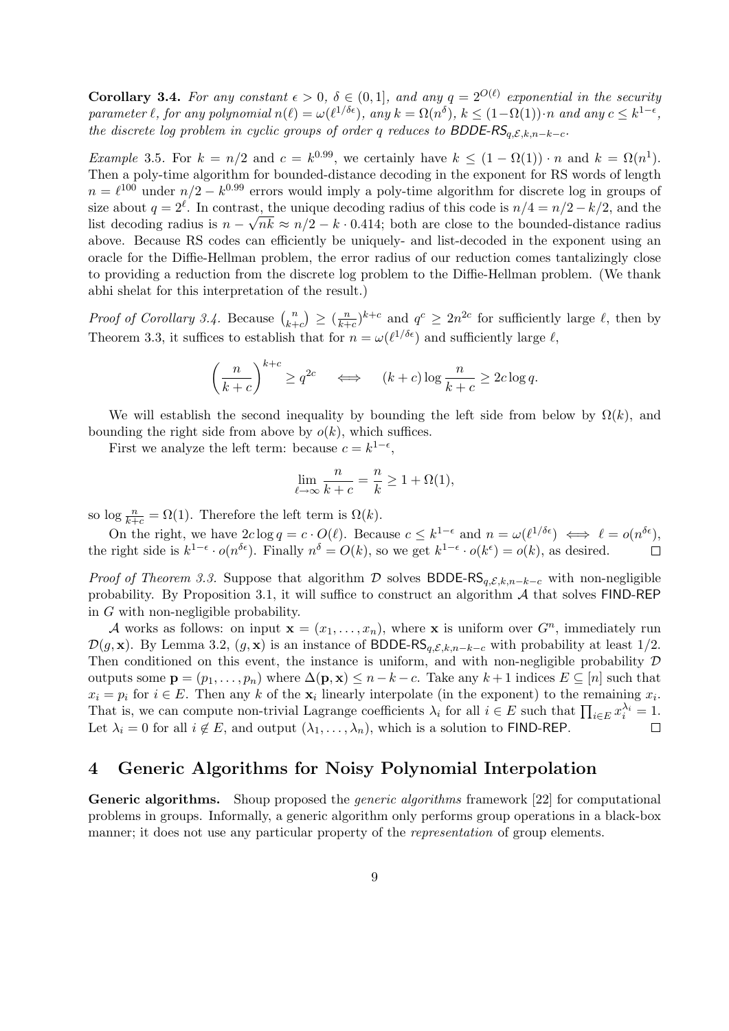**Corollary 3.4.** For any constant  $\epsilon > 0$ ,  $\delta \in (0,1]$ , and any  $q = 2^{O(\ell)}$  exponential in the security parameter  $\ell$ , for any polynomial  $n(\ell) = \omega(\ell^{1/\delta \epsilon})$ , any  $k = \Omega(n^{\delta}), k \leq (1 - \Omega(1)) \cdot n$  and any  $c \leq k^{1-\epsilon}$ , the discrete log problem in cyclic groups of order q reduces to BDDE-RS $_{q,\mathcal{E},k,n-k-c}$ .

*Example 3.5.* For  $k = n/2$  and  $c = k^{0.99}$ , we certainly have  $k \leq (1 - \Omega(1)) \cdot n$  and  $k = \Omega(n^1)$ . Then a poly-time algorithm for bounded-distance decoding in the exponent for RS words of length  $n = \ell^{100}$  under  $n/2 - k^{0.99}$  errors would imply a poly-time algorithm for discrete log in groups of size about  $q = 2^{\ell}$ . In contrast, the unique decoding radius of this code is  $n/4 = n/2 - k/2$ , and the list decoding radius is  $n - \sqrt{nk} \approx n/2 - k \cdot 0.414$ ; both are close to the bounded-distance radius above. Because RS codes can efficiently be uniquely- and list-decoded in the exponent using an oracle for the Diffie-Hellman problem, the error radius of our reduction comes tantalizingly close to providing a reduction from the discrete log problem to the Diffie-Hellman problem. (We thank abhi shelat for this interpretation of the result.)

*Proof of Corollary 3.4.* Because  $\binom{n}{k+1}$  $\binom{n}{k+c} \geq \left(\frac{n}{k+1}\right)$  $(\frac{n}{k+c})^{k+c}$  and  $q^c \geq 2n^{2c}$  for sufficiently large  $\ell$ , then by Theorem 3.3, it suffices to establish that for  $n = \omega(\ell^{1/\delta \epsilon})$  and sufficiently large  $\ell$ ,

$$
\left(\frac{n}{k+c}\right)^{k+c} \ge q^{2c} \quad \iff \quad (k+c)\log\frac{n}{k+c} \ge 2c\log q.
$$

We will establish the second inequality by bounding the left side from below by  $\Omega(k)$ , and bounding the right side from above by  $o(k)$ , which suffices.

First we analyze the left term: because  $c = k^{1-\epsilon}$ ,

$$
\lim_{\ell \to \infty} \frac{n}{k+c} = \frac{n}{k} \ge 1 + \Omega(1),
$$

so log  $\frac{n}{k+c} = \Omega(1)$ . Therefore the left term is  $\Omega(k)$ .

On the right, we have  $2c \log q = c \cdot O(\ell)$ . Because  $c \leq k^{1-\epsilon}$  and  $n = \omega(\ell^{1/\delta \epsilon}) \iff \ell = o(n^{\delta \epsilon})$ , the right side is  $k^{1-\epsilon} \cdot o(n^{\delta \epsilon})$ . Finally  $n^{\delta} = O(k)$ , so we get  $k^{1-\epsilon} \cdot o(k^{\epsilon}) = o(k)$ , as desired.

*Proof of Theorem 3.3.* Suppose that algorithm D solves BDDE-RS<sub>q, E,k,n–k–c with non-negligible</sub> probability. By Proposition 3.1, it will suffice to construct an algorithm  $A$  that solves FIND-REP in G with non-negligible probability.

A works as follows: on input  $\mathbf{x} = (x_1, \ldots, x_n)$ , where x is uniform over  $G^n$ , immediately run  $\mathcal{D}(g, \mathbf{x})$ . By Lemma 3.2,  $(g, \mathbf{x})$  is an instance of BDDE-RS<sub>q, E,k,n–k–c</sub> with probability at least 1/2. Then conditioned on this event, the instance is uniform, and with non-negligible probability  $D$ outputs some  $\mathbf{p} = (p_1, \ldots, p_n)$  where  $\Delta(\mathbf{p}, \mathbf{x}) \leq n - k - c$ . Take any  $k + 1$  indices  $E \subseteq [n]$  such that  $x_i = p_i$  for  $i \in E$ . Then any k of the  $\mathbf{x}_i$  linearly interpolate (in the exponent) to the remaining  $x_i$ . That is, we can compute non-trivial Lagrange coefficients  $\lambda_i$  for all  $i \in E$  such that  $\prod_{i \in E} x_i^{\lambda_i} = 1$ . Let  $\lambda_i = 0$  for all  $i \notin E$ , and output  $(\lambda_1, \ldots, \lambda_n)$ , which is a solution to FIND-REP.  $\Box$ 

# 4 Generic Algorithms for Noisy Polynomial Interpolation

Generic algorithms. Shoup proposed the *generic algorithms* framework [22] for computational problems in groups. Informally, a generic algorithm only performs group operations in a black-box manner; it does not use any particular property of the *representation* of group elements.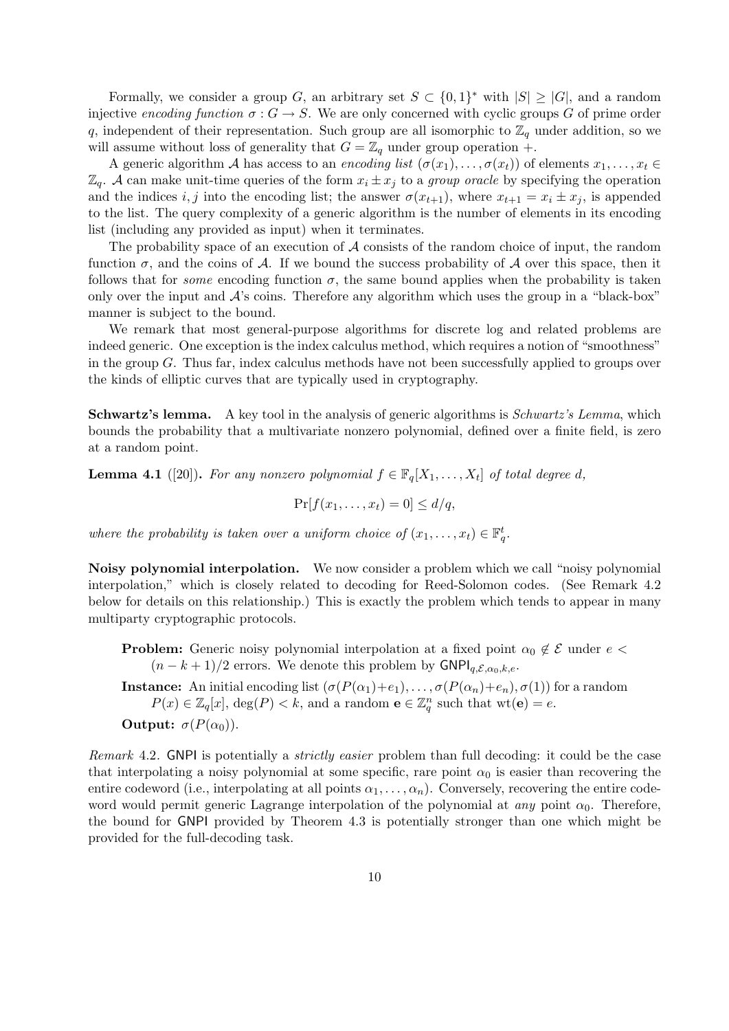Formally, we consider a group G, an arbitrary set  $S \subset \{0,1\}^*$  with  $|S| \geq |G|$ , and a random injective encoding function  $\sigma : G \to S$ . We are only concerned with cyclic groups G of prime order q, independent of their representation. Such group are all isomorphic to  $\mathbb{Z}_q$  under addition, so we will assume without loss of generality that  $G = \mathbb{Z}_q$  under group operation +.

A generic algorithm A has access to an encoding list  $(\sigma(x_1), \ldots, \sigma(x_t))$  of elements  $x_1, \ldots, x_t \in$  $\mathbb{Z}_q$ . A can make unit-time queries of the form  $x_i \pm x_j$  to a group oracle by specifying the operation and the indices i, j into the encoding list; the answer  $\sigma(x_{t+1})$ , where  $x_{t+1} = x_i \pm x_j$ , is appended to the list. The query complexity of a generic algorithm is the number of elements in its encoding list (including any provided as input) when it terminates.

The probability space of an execution of  $A$  consists of the random choice of input, the random function  $\sigma$ , and the coins of A. If we bound the success probability of A over this space, then it follows that for *some* encoding function  $\sigma$ , the same bound applies when the probability is taken only over the input and  $A$ 's coins. Therefore any algorithm which uses the group in a "black-box" manner is subject to the bound.

We remark that most general-purpose algorithms for discrete log and related problems are indeed generic. One exception is the index calculus method, which requires a notion of "smoothness" in the group G. Thus far, index calculus methods have not been successfully applied to groups over the kinds of elliptic curves that are typically used in cryptography.

Schwartz's lemma. A key tool in the analysis of generic algorithms is *Schwartz's Lemma*, which bounds the probability that a multivariate nonzero polynomial, defined over a finite field, is zero at a random point.

**Lemma 4.1** ([20]). For any nonzero polynomial  $f \in \mathbb{F}_q[X_1, \ldots, X_t]$  of total degree d,

 $Pr[f(x_1, \ldots, x_t) = 0] \le d/q,$ 

where the probability is taken over a uniform choice of  $(x_1, \ldots, x_t) \in \mathbb{F}_q^t$ .

Noisy polynomial interpolation. We now consider a problem which we call "noisy polynomial interpolation," which is closely related to decoding for Reed-Solomon codes. (See Remark 4.2 below for details on this relationship.) This is exactly the problem which tends to appear in many multiparty cryptographic protocols.

**Problem:** Generic noisy polynomial interpolation at a fixed point  $\alpha_0 \notin \mathcal{E}$  under  $e$  $(n - k + 1)/2$  errors. We denote this problem by  $\mathsf{GNPI}_{q,\mathcal{E},\alpha_0,k,e}.$ 

**Instance:** An initial encoding list  $(\sigma(P(\alpha_1)+e_1), \ldots, \sigma(P(\alpha_n)+e_n), \sigma(1))$  for a random  $P(x) \in \mathbb{Z}_q[x]$ ,  $\deg(P) < k$ , and a random  $\mathbf{e} \in \mathbb{Z}_q^n$  such that  $\text{wt}(\mathbf{e}) = e$ . **Output:**  $\sigma(P(\alpha_0))$ .

Remark 4.2. GNPI is potentially a *strictly easier* problem than full decoding: it could be the case that interpolating a noisy polynomial at some specific, rare point  $\alpha_0$  is easier than recovering the entire codeword (i.e., interpolating at all points  $\alpha_1, \ldots, \alpha_n$ ). Conversely, recovering the entire codeword would permit generic Lagrange interpolation of the polynomial at any point  $\alpha_0$ . Therefore, the bound for GNPI provided by Theorem 4.3 is potentially stronger than one which might be provided for the full-decoding task.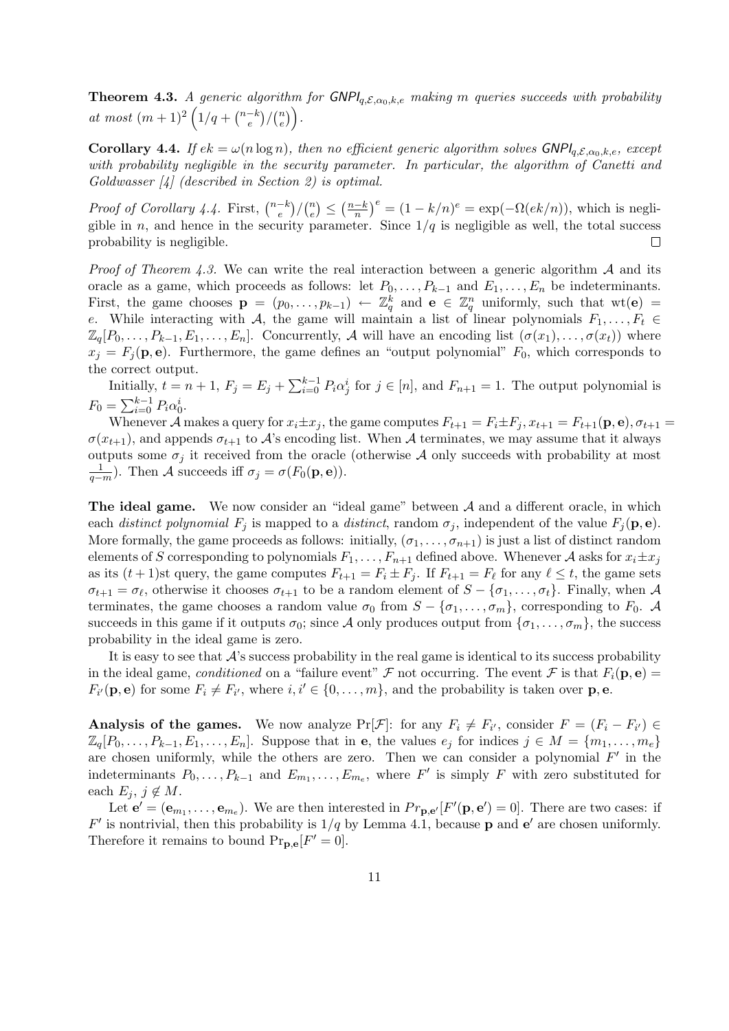**Theorem 4.3.** A generic algorithm for  $GNPI_{q,\mathcal{E},\alpha_0,k,e}$  making m queries succeeds with probability at most  $(m+1)^2 \left(1/q + \binom{n-k}{e} \right)$  $\binom{-k}{e}/\binom{n}{e}$  $\binom{n}{e}$ .

**Corollary 4.4.** If  $ek = \omega(n \log n)$ , then no efficient generic algorithm solves  $\text{GNPI}_{q,\mathcal{E},\alpha_0,k,e}$ , except with probability negligible in the security parameter. In particular, the algorithm of Canetti and Goldwasser [4] (described in Section 2) is optimal.

 $\left(\frac{-k}{n}\right)^e = (1 - k/n)^e = \exp(-\Omega(ek/n)),$  which is negli-*Proof of Corollary 4.4.* First,  $\binom{n-k}{e}$  $\binom{-k}{e}/\binom{n}{e}$  $\binom{n}{e} \leq \left(\frac{n-k}{n}\right)$ gible in n, and hence in the security parameter. Since  $1/q$  is negligible as well, the total success probability is negligible.  $\Box$ 

*Proof of Theorem 4.3.* We can write the real interaction between a generic algorithm  $A$  and its oracle as a game, which proceeds as follows: let  $P_0, \ldots, P_{k-1}$  and  $E_1, \ldots, E_n$  be indeterminants. First, the game chooses  $\mathbf{p} = (p_0, \ldots, p_{k-1}) \leftarrow \mathbb{Z}_q^k$  and  $\mathbf{e} \in \mathbb{Z}_q^n$  uniformly, such that wt $(\mathbf{e}) =$ e. While interacting with A, the game will maintain a list of linear polynomials  $F_1, \ldots, F_t \in$  $\mathbb{Z}_q[P_0,\ldots,P_{k-1},E_1,\ldots,E_n]$ . Concurrently, A will have an encoding list  $(\sigma(x_1),\ldots,\sigma(x_t))$  where  $x_j = F_j(\mathbf{p}, \mathbf{e})$ . Furthermore, the game defines an "output polynomial"  $F_0$ , which corresponds to the correct output.

Initially,  $t = n + 1$ ,  $F_j = E_j + \sum_{i=0}^{k-1} P_i \alpha_j^i$  for  $j \in [n]$ , and  $F_{n+1} = 1$ . The output polynomial is  $F_0 = \sum_{i=0}^{k-1} P_i \alpha_0^i.$ 

Whenever A makes a query for  $x_i \pm x_j$ , the game computes  $F_{t+1} = F_i \pm F_j$ ,  $x_{t+1} = F_{t+1}(\mathbf{p}, \mathbf{e}), \sigma_{t+1} = \sigma$  $\sigma(x_{t+1})$ , and appends  $\sigma_{t+1}$  to A's encoding list. When A terminates, we may assume that it always outputs some  $\sigma_j$  it received from the oracle (otherwise A only succeeds with probability at most  $\frac{1}{q-m}$ ). Then A succeeds iff  $\sigma_j = \sigma(F_0(\mathbf{p}, \mathbf{e}))$ .

The ideal game. We now consider an "ideal game" between A and a different oracle, in which each distinct polynomial  $F_j$  is mapped to a distinct, random  $\sigma_j$ , independent of the value  $F_j(\mathbf{p}, \mathbf{e})$ . More formally, the game proceeds as follows: initially,  $(\sigma_1, \ldots, \sigma_{n+1})$  is just a list of distinct random elements of S corresponding to polynomials  $F_1, \ldots, F_{n+1}$  defined above. Whenever A asks for  $x_i \pm x_j$ as its  $(t+1)$ st query, the game computes  $F_{t+1} = F_i \pm F_j$ . If  $F_{t+1} = F_\ell$  for any  $\ell \leq t$ , the game sets  $\sigma_{t+1} = \sigma_{\ell}$ , otherwise it chooses  $\sigma_{t+1}$  to be a random element of  $S - \{\sigma_1, \ldots, \sigma_t\}$ . Finally, when A terminates, the game chooses a random value  $\sigma_0$  from  $S - \{\sigma_1, \ldots, \sigma_m\}$ , corresponding to  $F_0$ . A succeeds in this game if it outputs  $\sigma_0$ ; since A only produces output from  $\{\sigma_1, \ldots, \sigma_m\}$ , the success probability in the ideal game is zero.

It is easy to see that  $\mathcal{A}$ 's success probability in the real game is identical to its success probability in the ideal game, conditioned on a "failure event" F not occurring. The event F is that  $F_i(\mathbf{p}, \mathbf{e}) =$  $F_{i'}(\mathbf{p}, \mathbf{e})$  for some  $F_i \neq F_{i'}$ , where  $i, i' \in \{0, \ldots, m\}$ , and the probability is taken over  $\mathbf{p}, \mathbf{e}$ .

**Analysis of the games.** We now analyze  $Pr[\mathcal{F}]$ : for any  $F_i \neq F_{i'}$ , consider  $F = (F_i - F_{i'}) \in$  $\mathbb{Z}_q[P_0,\ldots,P_{k-1},E_1,\ldots,E_n]$ . Suppose that in **e**, the values  $e_j$  for indices  $j \in M = \{m_1,\ldots,m_e\}$ are chosen uniformly, while the others are zero. Then we can consider a polynomial  $F'$  in the indeterminants  $P_0, \ldots, P_{k-1}$  and  $E_{m_1}, \ldots, E_{m_e}$ , where  $F'$  is simply F with zero substituted for each  $E_j$ ,  $j \notin M$ .

Let  $\mathbf{e}' = (\mathbf{e}_{m_1}, \dots, \mathbf{e}_{m_e})$ . We are then interested in  $Pr_{\mathbf{p},\mathbf{e}'}[F'(\mathbf{p},\mathbf{e}') = 0]$ . There are two cases: if  $F'$  is nontrivial, then this probability is  $1/q$  by Lemma 4.1, because **p** and **e**' are chosen uniformly. Therefore it remains to bound  $\Pr_{\mathbf{p},\mathbf{e}}[F'=0].$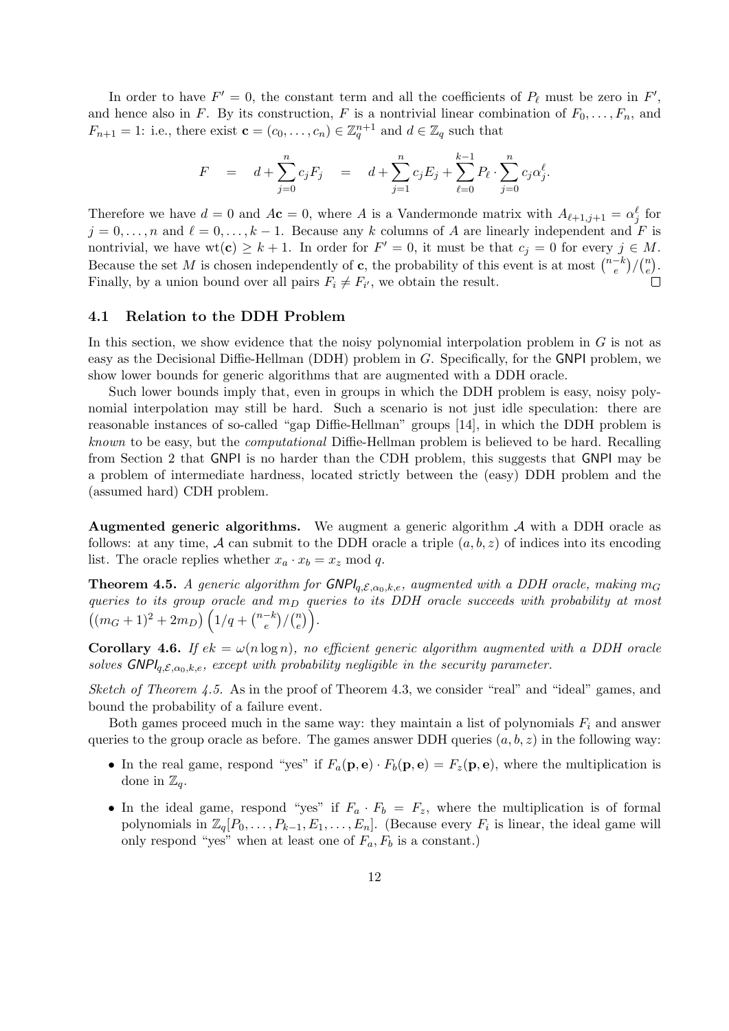In order to have  $F' = 0$ , the constant term and all the coefficients of  $P_\ell$  must be zero in  $F'$ , and hence also in F. By its construction, F is a nontrivial linear combination of  $F_0, \ldots, F_n$ , and  $F_{n+1} = 1$ : i.e., there exist  $\mathbf{c} = (c_0, \ldots, c_n) \in \mathbb{Z}_q^{n+1}$  and  $d \in \mathbb{Z}_q$  such that

$$
F = d + \sum_{j=0}^{n} c_j F_j = d + \sum_{j=1}^{n} c_j E_j + \sum_{\ell=0}^{k-1} P_\ell \cdot \sum_{j=0}^{n} c_j \alpha_j^{\ell}.
$$

Therefore we have  $d = 0$  and  $A\mathbf{c} = 0$ , where A is a Vandermonde matrix with  $A_{\ell+1,j+1} = \alpha_j^{\ell}$  for  $j = 0, \ldots, n$  and  $\ell = 0, \ldots, k - 1$ . Because any k columns of A are linearly independent and F is nontrivial, we have wt(c)  $\geq k+1$ . In order for  $F' = 0$ , it must be that  $c_j = 0$  for every  $j \in M$ . Because the set M is chosen independently of c, the probability of this event is at most  $\binom{n-k}{e}$  $\binom{-k}{e}/\binom{n}{e}$  $\binom{n}{e}$ . Finally, by a union bound over all pairs  $F_i \neq F_{i'}$ , we obtain the result.

### 4.1 Relation to the DDH Problem

In this section, we show evidence that the noisy polynomial interpolation problem in  $G$  is not as easy as the Decisional Diffie-Hellman (DDH) problem in G. Specifically, for the GNPI problem, we show lower bounds for generic algorithms that are augmented with a DDH oracle.

Such lower bounds imply that, even in groups in which the DDH problem is easy, noisy polynomial interpolation may still be hard. Such a scenario is not just idle speculation: there are reasonable instances of so-called "gap Diffie-Hellman" groups [14], in which the DDH problem is known to be easy, but the computational Diffie-Hellman problem is believed to be hard. Recalling from Section 2 that GNPI is no harder than the CDH problem, this suggests that GNPI may be a problem of intermediate hardness, located strictly between the (easy) DDH problem and the (assumed hard) CDH problem.

**Augmented generic algorithms.** We augment a generic algorithm  $A$  with a DDH oracle as follows: at any time, A can submit to the DDH oracle a triple  $(a, b, z)$  of indices into its encoding list. The oracle replies whether  $x_a \cdot x_b = x_z \mod q$ .

**Theorem 4.5.** A generic algorithm for  $\mathsf{GNPI}_{q,\mathcal{E},\alpha_0,k,e}$ , augmented with a DDH oracle, making  $m_G$ queries to its group oracle and  $m_D$  queries to its DDH oracle succeeds with probability at most  $((m_G+1)^2+2m_D)\left(1/q+{\binom{n-k}{e}}\right)$  $\binom{-k}{e}/\binom{n}{e}$  $\binom{n}{e}$ .

**Corollary 4.6.** If  $ek = \omega(n \log n)$ , no efficient generic algorithm augmented with a DDH oracle solves  $\mathsf{GNPI}_{q,\mathcal{E},\alpha_0,k,e}$ , except with probability negligible in the security parameter.

Sketch of Theorem  $4.5$ . As in the proof of Theorem 4.3, we consider "real" and "ideal" games, and bound the probability of a failure event.

Both games proceed much in the same way: they maintain a list of polynomials  $F_i$  and answer queries to the group oracle as before. The games answer DDH queries  $(a, b, z)$  in the following way:

- In the real game, respond "yes" if  $F_a(\mathbf{p}, \mathbf{e}) \cdot F_b(\mathbf{p}, \mathbf{e}) = F_z(\mathbf{p}, \mathbf{e})$ , where the multiplication is done in  $\mathbb{Z}_q$ .
- In the ideal game, respond "yes" if  $F_a \cdot F_b = F_z$ , where the multiplication is of formal polynomials in  $\mathbb{Z}_q[P_0,\ldots,P_{k-1},E_1,\ldots,E_n]$ . (Because every  $F_i$  is linear, the ideal game will only respond "yes" when at least one of  $F_a, F_b$  is a constant.)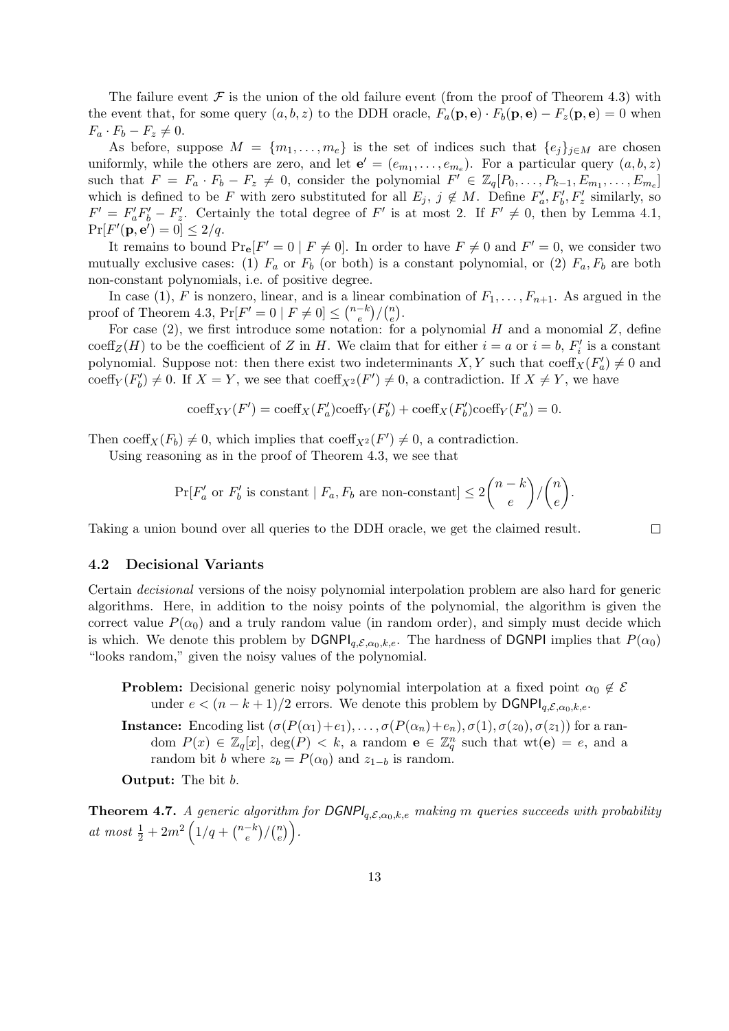The failure event  $\mathcal F$  is the union of the old failure event (from the proof of Theorem 4.3) with the event that, for some query  $(a, b, z)$  to the DDH oracle,  $F_a(\mathbf{p}, \mathbf{e}) \cdot F_b(\mathbf{p}, \mathbf{e}) - F_z(\mathbf{p}, \mathbf{e}) = 0$  when  $F_a \cdot F_b - F_z \neq 0.$ 

As before, suppose  $M = \{m_1, \ldots, m_e\}$  is the set of indices such that  $\{e_j\}_{j\in M}$  are chosen uniformly, while the others are zero, and let  $\mathbf{e}' = (e_{m_1}, \ldots, e_{m_e})$ . For a particular query  $(a, b, z)$ such that  $F = F_a \cdot F_b - F_z \neq 0$ , consider the polynomial  $F' \in \mathbb{Z}_q[P_0, \ldots, P_{k-1}, E_{m_1}, \ldots, E_{m_e}]$ which is defined to be F with zero substituted for all  $E_j$ ,  $j \notin M$ . Define  $F'_a, F'_b, F'_z$  similarly, so  $F' = F'_a F'_b - F'_z$ . Certainly the total degree of F' is at most 2. If  $F' \neq 0$ , then by Lemma 4.1,  $Pr[F'(\mathbf{p}, \mathbf{e}')] = 0] \leq 2/q.$ 

It remains to bound  $\Pr_{\mathbf{e}}[F' = 0 | F \neq 0]$ . In order to have  $F \neq 0$  and  $F' = 0$ , we consider two mutually exclusive cases: (1)  $F_a$  or  $F_b$  (or both) is a constant polynomial, or (2)  $F_a$ ,  $F_b$  are both non-constant polynomials, i.e. of positive degree.

In case (1), F is nonzero, linear, and is a linear combination of  $F_1, \ldots, F_{n+1}$ . As argued in the proof of Theorem 4.3,  $Pr[F' = 0 | F \neq 0] \leq {n-k \choose e}$  $\binom{-k}{e}/\binom{n}{e}$  $\binom{n}{e}$ .

For case  $(2)$ , we first introduce some notation: for a polynomial H and a monomial Z, define  $\mathrm{coeff}_Z(H)$  to be the coefficient of Z in H. We claim that for either  $i = a$  or  $i = b$ ,  $F'_i$  is a constant polynomial. Suppose not: then there exist two indeterminants  $X, Y$  such that  $\text{coeff}_X(F'_a) \neq 0$  and coeff $_Y(F'_b) \neq 0$ . If  $X = Y$ , we see that  $\operatorname{coeff}_{X^2}(F') \neq 0$ , a contradiction. If  $X \neq Y$ , we have

$$
\mathrm{coeff}_{XY}(F')=\mathrm{coeff}_{X}(F'_{a})\mathrm{coeff}_{Y}(F'_{b})+\mathrm{coeff}_{X}(F'_{b})\mathrm{coeff}_{Y}(F'_{a})=0.
$$

Then coeff<sub>X</sub> $(F_b) \neq 0$ , which implies that coeff<sub>X<sup>2</sub></sup> $(F') \neq 0$ , a contradiction.</sub>

Using reasoning as in the proof of Theorem 4.3, we see that

$$
\Pr[F'_a \text{ or } F'_b \text{ is constant} \mid F_a, F_b \text{ are non-constant}] \le 2\binom{n-k}{e}/\binom{n}{e}.
$$

 $\Box$ 

Taking a union bound over all queries to the DDH oracle, we get the claimed result.

#### 4.2 Decisional Variants

Certain decisional versions of the noisy polynomial interpolation problem are also hard for generic algorithms. Here, in addition to the noisy points of the polynomial, the algorithm is given the correct value  $P(\alpha_0)$  and a truly random value (in random order), and simply must decide which is which. We denote this problem by  $\text{DGNPI}_{q,\mathcal{E},\alpha_0,k,e}$ . The hardness of DGNPI implies that  $P(\alpha_0)$ "looks random," given the noisy values of the polynomial.

- **Problem:** Decisional generic noisy polynomial interpolation at a fixed point  $\alpha_0 \notin \mathcal{E}$ under  $e < (n - k + 1)/2$  errors. We denote this problem by  $\text{DGNPI}_{q,\mathcal{E},\alpha_0,k,e}$ .
- **Instance:** Encoding list  $(\sigma(P(\alpha_1)+e_1), \ldots, \sigma(P(\alpha_n)+e_n), \sigma(1), \sigma(z_0), \sigma(z_1))$  for a random  $P(x) \in \mathbb{Z}_q[x]$ ,  $\deg(P) < k$ , a random  $\mathbf{e} \in \mathbb{Z}_q^n$  such that  $\text{wt}(\mathbf{e}) = e$ , and a random bit b where  $z_b = P(\alpha_0)$  and  $z_{1-b}$  is random.

Output: The bit b.

**Theorem 4.7.** A generic algorithm for  $DGNPl_{q,\mathcal{E},\alpha_0,k,e}$  making m queries succeeds with probability at most  $\frac{1}{2} + 2m^2 \left(1/q + \binom{n-k}{e} \right)$  $\binom{-k}{e}/\binom{n}{e}$  $\binom{n}{e}$ .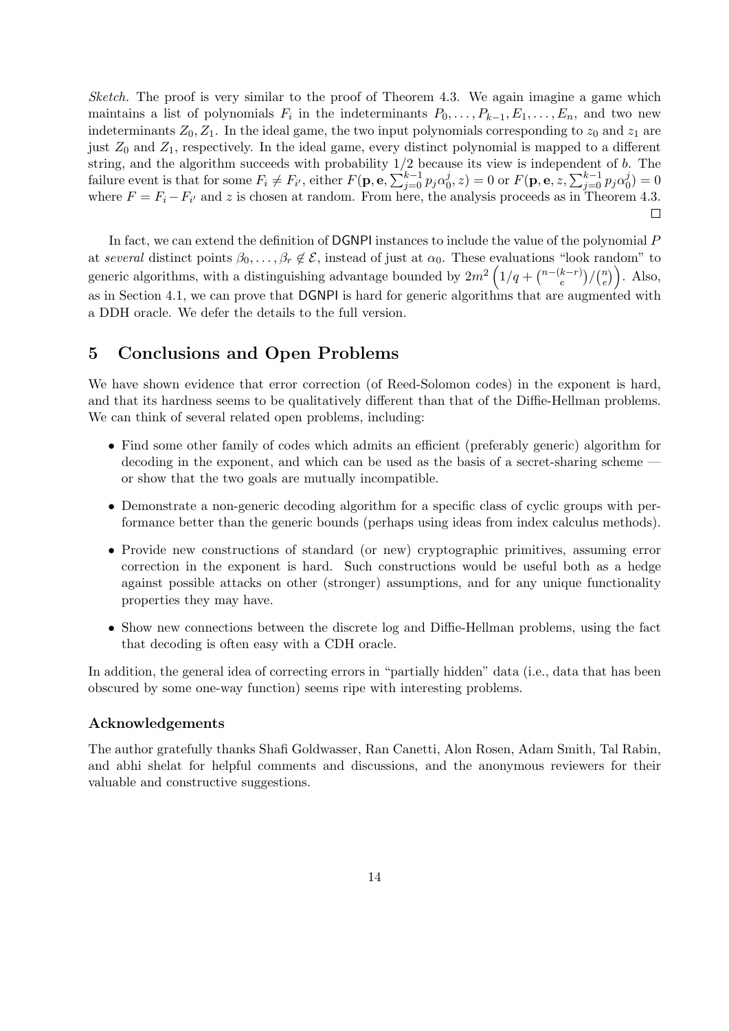Sketch. The proof is very similar to the proof of Theorem 4.3. We again imagine a game which maintains a list of polynomials  $F_i$  in the indeterminants  $P_0, \ldots, P_{k-1}, E_1, \ldots, E_n$ , and two new indeterminants  $Z_0, Z_1$ . In the ideal game, the two input polynomials corresponding to  $z_0$  and  $z_1$  are just  $Z_0$  and  $Z_1$ , respectively. In the ideal game, every distinct polynomial is mapped to a different string, and the algorithm succeeds with probability  $1/2$  because its view is independent of b. The failure event is that for some  $F_i \neq F_{i'}$ , either  $F(\mathbf{p}, \mathbf{e}, \sum_{j=0}^{k-1} p_j \alpha_0^j)$  $\hat{\mathbf{C}}_{0}^{j},z) = 0 \text{ or } F(\mathbf{p},\mathbf{e},z,\sum_{j=0}^{k-1}p_{j}\alpha_{0}^{j})$  $\binom{J}{0} = 0$ where  $F = F_i - F_{i'}$  and z is chosen at random. From here, the analysis proceeds as in Theorem 4.3.  $\Box$ 

In fact, we can extend the definition of DGNPI instances to include the value of the polynomial P at several distinct points  $\beta_0, \ldots, \beta_r \notin \mathcal{E}$ , instead of just at  $\alpha_0$ . These evaluations "look random" to generic algorithms, with a distinguishing advantage bounded by  $2m^2\left(1/q + \binom{n-(k-r)}{e}\right)$  $\binom{k-r}{e}/\binom{n}{e}$  $\binom{n}{e}$ . Also, as in Section 4.1, we can prove that DGNPI is hard for generic algorithms that are augmented with a DDH oracle. We defer the details to the full version.

# 5 Conclusions and Open Problems

We have shown evidence that error correction (of Reed-Solomon codes) in the exponent is hard, and that its hardness seems to be qualitatively different than that of the Diffie-Hellman problems. We can think of several related open problems, including:

- Find some other family of codes which admits an efficient (preferably generic) algorithm for decoding in the exponent, and which can be used as the basis of a secret-sharing scheme or show that the two goals are mutually incompatible.
- Demonstrate a non-generic decoding algorithm for a specific class of cyclic groups with performance better than the generic bounds (perhaps using ideas from index calculus methods).
- Provide new constructions of standard (or new) cryptographic primitives, assuming error correction in the exponent is hard. Such constructions would be useful both as a hedge against possible attacks on other (stronger) assumptions, and for any unique functionality properties they may have.
- Show new connections between the discrete log and Diffie-Hellman problems, using the fact that decoding is often easy with a CDH oracle.

In addition, the general idea of correcting errors in "partially hidden" data (i.e., data that has been obscured by some one-way function) seems ripe with interesting problems.

### Acknowledgements

The author gratefully thanks Shafi Goldwasser, Ran Canetti, Alon Rosen, Adam Smith, Tal Rabin, and abhi shelat for helpful comments and discussions, and the anonymous reviewers for their valuable and constructive suggestions.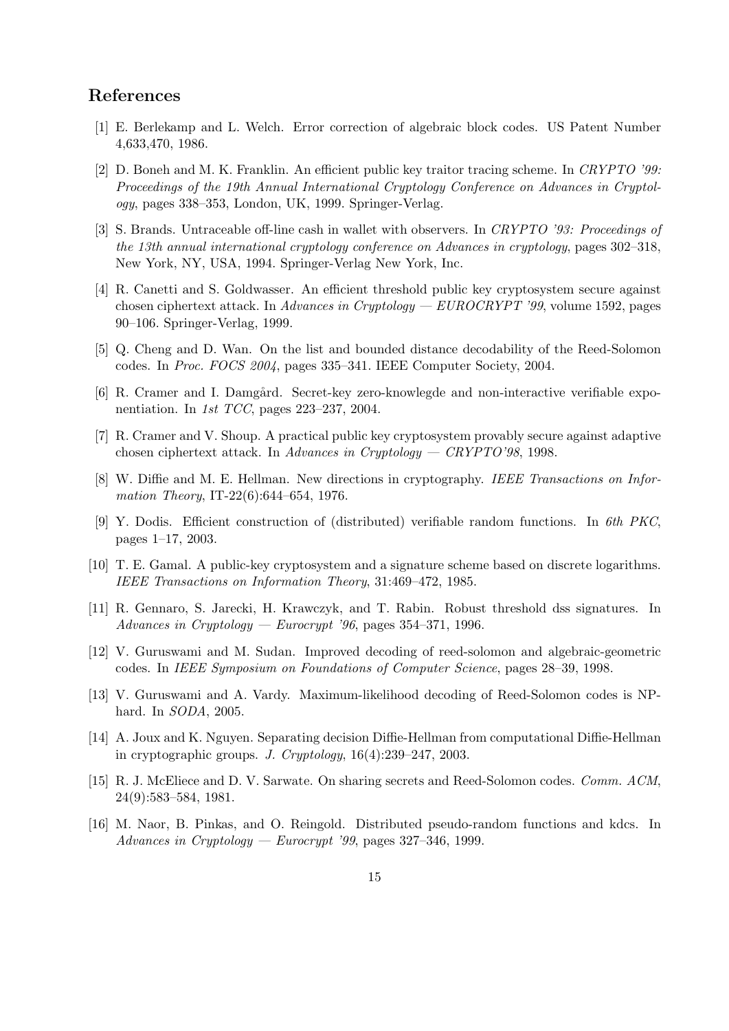### References

- [1] E. Berlekamp and L. Welch. Error correction of algebraic block codes. US Patent Number 4,633,470, 1986.
- [2] D. Boneh and M. K. Franklin. An efficient public key traitor tracing scheme. In CRYPTO '99: Proceedings of the 19th Annual International Cryptology Conference on Advances in Cryptology, pages 338–353, London, UK, 1999. Springer-Verlag.
- [3] S. Brands. Untraceable off-line cash in wallet with observers. In CRYPTO '93: Proceedings of the 13th annual international cryptology conference on Advances in cryptology, pages 302–318, New York, NY, USA, 1994. Springer-Verlag New York, Inc.
- [4] R. Canetti and S. Goldwasser. An efficient threshold public key cryptosystem secure against chosen ciphertext attack. In Advances in Cryptology —  $EUROCRYPT'$  '99, volume 1592, pages 90–106. Springer-Verlag, 1999.
- [5] Q. Cheng and D. Wan. On the list and bounded distance decodability of the Reed-Solomon codes. In Proc. FOCS 2004, pages 335–341. IEEE Computer Society, 2004.
- [6] R. Cramer and I. Damgård. Secret-key zero-knowlegde and non-interactive verifiable exponentiation. In 1st TCC, pages 223–237, 2004.
- [7] R. Cramer and V. Shoup. A practical public key cryptosystem provably secure against adaptive chosen ciphertext attack. In Advances in Cryptology — CRYPTO'98, 1998.
- [8] W. Diffie and M. E. Hellman. New directions in cryptography. IEEE Transactions on Information Theory, IT-22(6):644–654, 1976.
- [9] Y. Dodis. Efficient construction of (distributed) verifiable random functions. In 6th PKC, pages 1–17, 2003.
- [10] T. E. Gamal. A public-key cryptosystem and a signature scheme based on discrete logarithms. IEEE Transactions on Information Theory, 31:469–472, 1985.
- [11] R. Gennaro, S. Jarecki, H. Krawczyk, and T. Rabin. Robust threshold dss signatures. In Advances in Cryptology — Eurocrypt '96, pages  $354-371$ , 1996.
- [12] V. Guruswami and M. Sudan. Improved decoding of reed-solomon and algebraic-geometric codes. In IEEE Symposium on Foundations of Computer Science, pages 28–39, 1998.
- [13] V. Guruswami and A. Vardy. Maximum-likelihood decoding of Reed-Solomon codes is NPhard. In SODA, 2005.
- [14] A. Joux and K. Nguyen. Separating decision Diffie-Hellman from computational Diffie-Hellman in cryptographic groups. J. Cryptology, 16(4):239–247, 2003.
- [15] R. J. McEliece and D. V. Sarwate. On sharing secrets and Reed-Solomon codes. Comm. ACM, 24(9):583–584, 1981.
- [16] M. Naor, B. Pinkas, and O. Reingold. Distributed pseudo-random functions and kdcs. In Advances in Cryptology — Eurocrypt '99, pages  $327-346$ , 1999.